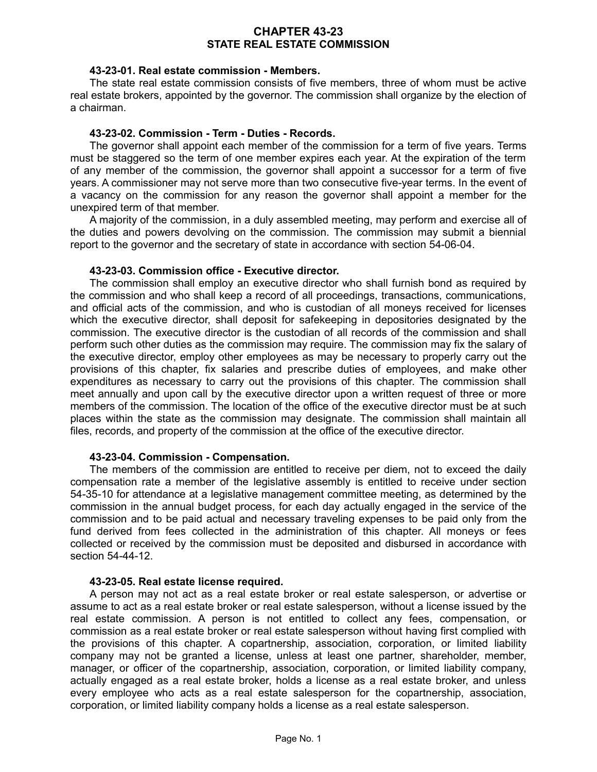## **CHAPTER 43-23 STATE REAL ESTATE COMMISSION**

### **43-23-01. Real estate commission - Members.**

The state real estate commission consists of five members, three of whom must be active real estate brokers, appointed by the governor. The commission shall organize by the election of a chairman.

#### **43-23-02. Commission - Term - Duties - Records.**

The governor shall appoint each member of the commission for a term of five years. Terms must be staggered so the term of one member expires each year. At the expiration of the term of any member of the commission, the governor shall appoint a successor for a term of five years. A commissioner may not serve more than two consecutive five-year terms. In the event of a vacancy on the commission for any reason the governor shall appoint a member for the unexpired term of that member.

A majority of the commission, in a duly assembled meeting, may perform and exercise all of the duties and powers devolving on the commission. The commission may submit a biennial report to the governor and the secretary of state in accordance with section 54-06-04.

#### **43-23-03. Commission office - Executive director.**

The commission shall employ an executive director who shall furnish bond as required by the commission and who shall keep a record of all proceedings, transactions, communications, and official acts of the commission, and who is custodian of all moneys received for licenses which the executive director, shall deposit for safekeeping in depositories designated by the commission. The executive director is the custodian of all records of the commission and shall perform such other duties as the commission may require. The commission may fix the salary of the executive director, employ other employees as may be necessary to properly carry out the provisions of this chapter, fix salaries and prescribe duties of employees, and make other expenditures as necessary to carry out the provisions of this chapter. The commission shall meet annually and upon call by the executive director upon a written request of three or more members of the commission. The location of the office of the executive director must be at such places within the state as the commission may designate. The commission shall maintain all files, records, and property of the commission at the office of the executive director.

### **43-23-04. Commission - Compensation.**

The members of the commission are entitled to receive per diem, not to exceed the daily compensation rate a member of the legislative assembly is entitled to receive under section 54-35-10 for attendance at a legislative management committee meeting, as determined by the commission in the annual budget process, for each day actually engaged in the service of the commission and to be paid actual and necessary traveling expenses to be paid only from the fund derived from fees collected in the administration of this chapter. All moneys or fees collected or received by the commission must be deposited and disbursed in accordance with section 54-44-12.

#### **43-23-05. Real estate license required.**

A person may not act as a real estate broker or real estate salesperson, or advertise or assume to act as a real estate broker or real estate salesperson, without a license issued by the real estate commission. A person is not entitled to collect any fees, compensation, or commission as a real estate broker or real estate salesperson without having first complied with the provisions of this chapter. A copartnership, association, corporation, or limited liability company may not be granted a license, unless at least one partner, shareholder, member, manager, or officer of the copartnership, association, corporation, or limited liability company, actually engaged as a real estate broker, holds a license as a real estate broker, and unless every employee who acts as a real estate salesperson for the copartnership, association, corporation, or limited liability company holds a license as a real estate salesperson.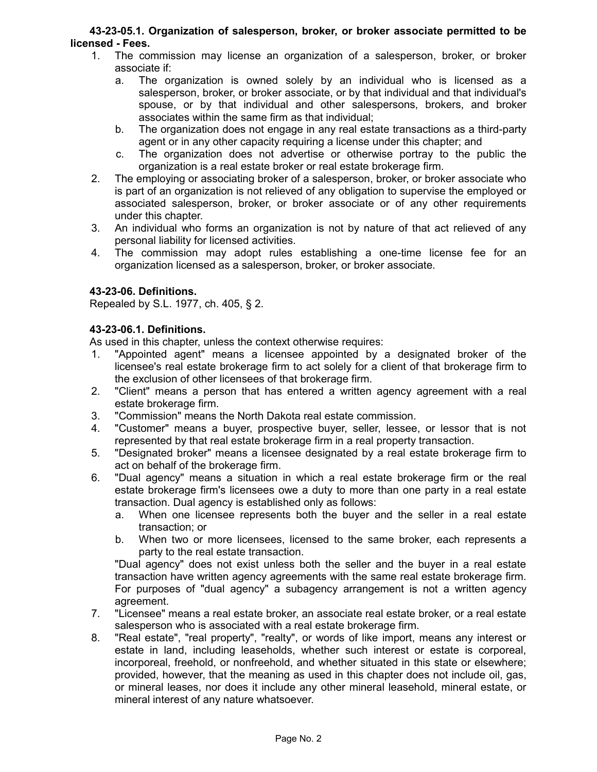## **43-23-05.1. Organization of salesperson, broker, or broker associate permitted to be licensed - Fees.**

- 1. The commission may license an organization of a salesperson, broker, or broker associate if:
	- a. The organization is owned solely by an individual who is licensed as a salesperson, broker, or broker associate, or by that individual and that individual's spouse, or by that individual and other salespersons, brokers, and broker associates within the same firm as that individual;
	- b. The organization does not engage in any real estate transactions as a third-party agent or in any other capacity requiring a license under this chapter; and
	- c. The organization does not advertise or otherwise portray to the public the organization is a real estate broker or real estate brokerage firm.
- 2. The employing or associating broker of a salesperson, broker, or broker associate who is part of an organization is not relieved of any obligation to supervise the employed or associated salesperson, broker, or broker associate or of any other requirements under this chapter.
- 3. An individual who forms an organization is not by nature of that act relieved of any personal liability for licensed activities.
- 4. The commission may adopt rules establishing a one-time license fee for an organization licensed as a salesperson, broker, or broker associate.

# **43-23-06. Definitions.**

Repealed by S.L. 1977, ch. 405, § 2.

## **43-23-06.1. Definitions.**

As used in this chapter, unless the context otherwise requires:

- 1. "Appointed agent" means a licensee appointed by a designated broker of the licensee's real estate brokerage firm to act solely for a client of that brokerage firm to the exclusion of other licensees of that brokerage firm.
- 2. "Client" means a person that has entered a written agency agreement with a real estate brokerage firm.
- 3. "Commission" means the North Dakota real estate commission.
- 4. "Customer" means a buyer, prospective buyer, seller, lessee, or lessor that is not represented by that real estate brokerage firm in a real property transaction.
- 5. "Designated broker" means a licensee designated by a real estate brokerage firm to act on behalf of the brokerage firm.
- 6. "Dual agency" means a situation in which a real estate brokerage firm or the real estate brokerage firm's licensees owe a duty to more than one party in a real estate transaction. Dual agency is established only as follows:
	- a. When one licensee represents both the buyer and the seller in a real estate transaction; or
	- b. When two or more licensees, licensed to the same broker, each represents a party to the real estate transaction.

"Dual agency" does not exist unless both the seller and the buyer in a real estate transaction have written agency agreements with the same real estate brokerage firm. For purposes of "dual agency" a subagency arrangement is not a written agency agreement.

- 7. "Licensee" means a real estate broker, an associate real estate broker, or a real estate salesperson who is associated with a real estate brokerage firm.
- 8. "Real estate", "real property", "realty", or words of like import, means any interest or estate in land, including leaseholds, whether such interest or estate is corporeal, incorporeal, freehold, or nonfreehold, and whether situated in this state or elsewhere; provided, however, that the meaning as used in this chapter does not include oil, gas, or mineral leases, nor does it include any other mineral leasehold, mineral estate, or mineral interest of any nature whatsoever.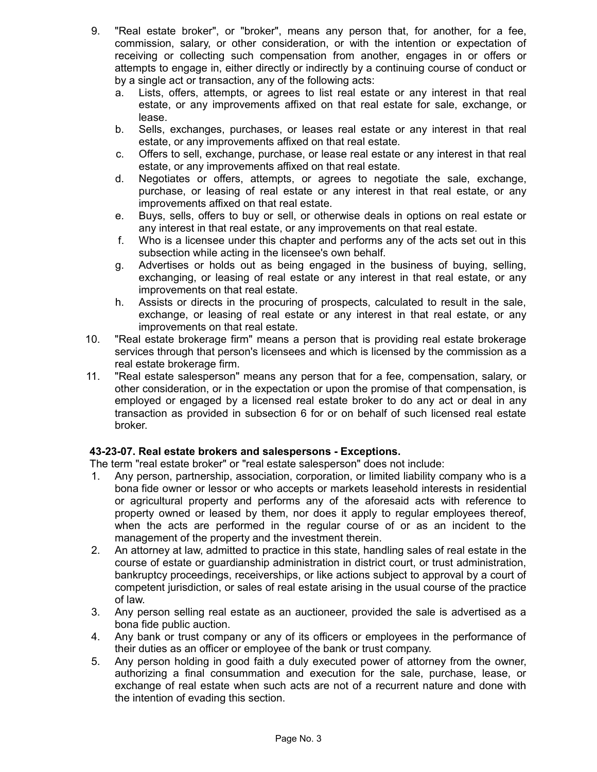- 9. "Real estate broker", or "broker", means any person that, for another, for a fee, commission, salary, or other consideration, or with the intention or expectation of receiving or collecting such compensation from another, engages in or offers or attempts to engage in, either directly or indirectly by a continuing course of conduct or by a single act or transaction, any of the following acts:
	- a. Lists, offers, attempts, or agrees to list real estate or any interest in that real estate, or any improvements affixed on that real estate for sale, exchange, or lease.
	- b. Sells, exchanges, purchases, or leases real estate or any interest in that real estate, or any improvements affixed on that real estate.
	- c. Offers to sell, exchange, purchase, or lease real estate or any interest in that real estate, or any improvements affixed on that real estate.
	- d. Negotiates or offers, attempts, or agrees to negotiate the sale, exchange, purchase, or leasing of real estate or any interest in that real estate, or any improvements affixed on that real estate.
	- e. Buys, sells, offers to buy or sell, or otherwise deals in options on real estate or any interest in that real estate, or any improvements on that real estate.
	- f. Who is a licensee under this chapter and performs any of the acts set out in this subsection while acting in the licensee's own behalf.
	- g. Advertises or holds out as being engaged in the business of buying, selling, exchanging, or leasing of real estate or any interest in that real estate, or any improvements on that real estate.
	- h. Assists or directs in the procuring of prospects, calculated to result in the sale, exchange, or leasing of real estate or any interest in that real estate, or any improvements on that real estate.
- 10. "Real estate brokerage firm" means a person that is providing real estate brokerage services through that person's licensees and which is licensed by the commission as a real estate brokerage firm.
- 11. "Real estate salesperson" means any person that for a fee, compensation, salary, or other consideration, or in the expectation or upon the promise of that compensation, is employed or engaged by a licensed real estate broker to do any act or deal in any transaction as provided in subsection 6 for or on behalf of such licensed real estate broker.

## **43-23-07. Real estate brokers and salespersons - Exceptions.**

The term "real estate broker" or "real estate salesperson" does not include:

- 1. Any person, partnership, association, corporation, or limited liability company who is a bona fide owner or lessor or who accepts or markets leasehold interests in residential or agricultural property and performs any of the aforesaid acts with reference to property owned or leased by them, nor does it apply to regular employees thereof, when the acts are performed in the regular course of or as an incident to the management of the property and the investment therein.
- 2. An attorney at law, admitted to practice in this state, handling sales of real estate in the course of estate or guardianship administration in district court, or trust administration, bankruptcy proceedings, receiverships, or like actions subject to approval by a court of competent jurisdiction, or sales of real estate arising in the usual course of the practice of law.
- 3. Any person selling real estate as an auctioneer, provided the sale is advertised as a bona fide public auction.
- 4. Any bank or trust company or any of its officers or employees in the performance of their duties as an officer or employee of the bank or trust company.
- 5. Any person holding in good faith a duly executed power of attorney from the owner, authorizing a final consummation and execution for the sale, purchase, lease, or exchange of real estate when such acts are not of a recurrent nature and done with the intention of evading this section.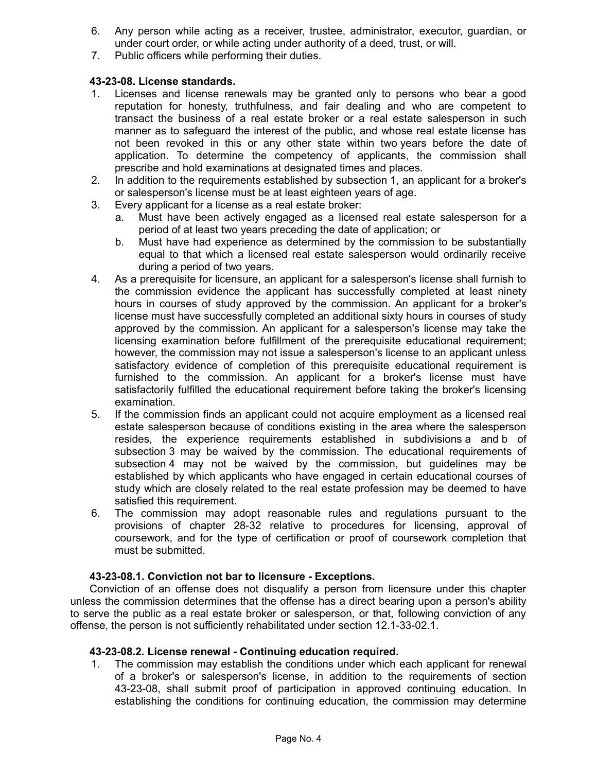- 6. Any person while acting as a receiver, trustee, administrator, executor, guardian, or under court order, or while acting under authority of a deed, trust, or will.
- 7. Public officers while performing their duties.

## **43-23-08. License standards.**

- 1. Licenses and license renewals may be granted only to persons who bear a good reputation for honesty, truthfulness, and fair dealing and who are competent to transact the business of a real estate broker or a real estate salesperson in such manner as to safeguard the interest of the public, and whose real estate license has not been revoked in this or any other state within two years before the date of application. To determine the competency of applicants, the commission shall prescribe and hold examinations at designated times and places.
- 2. In addition to the requirements established by subsection 1, an applicant for a broker's or salesperson's license must be at least eighteen years of age.
- 3. Every applicant for a license as a real estate broker:
	- a. Must have been actively engaged as a licensed real estate salesperson for a period of at least two years preceding the date of application; or
	- b. Must have had experience as determined by the commission to be substantially equal to that which a licensed real estate salesperson would ordinarily receive during a period of two years.
- 4. As a prerequisite for licensure, an applicant for a salesperson's license shall furnish to the commission evidence the applicant has successfully completed at least ninety hours in courses of study approved by the commission. An applicant for a broker's license must have successfully completed an additional sixty hours in courses of study approved by the commission. An applicant for a salesperson's license may take the licensing examination before fulfillment of the prerequisite educational requirement; however, the commission may not issue a salesperson's license to an applicant unless satisfactory evidence of completion of this prerequisite educational requirement is furnished to the commission. An applicant for a broker's license must have satisfactorily fulfilled the educational requirement before taking the broker's licensing examination.
- 5. If the commission finds an applicant could not acquire employment as a licensed real estate salesperson because of conditions existing in the area where the salesperson resides, the experience requirements established in subdivisions a and b of subsection 3 may be waived by the commission. The educational requirements of subsection 4 may not be waived by the commission, but guidelines may be established by which applicants who have engaged in certain educational courses of study which are closely related to the real estate profession may be deemed to have satisfied this requirement.
- 6. The commission may adopt reasonable rules and regulations pursuant to the provisions of chapter 28-32 relative to procedures for licensing, approval of coursework, and for the type of certification or proof of coursework completion that must be submitted.

## **43-23-08.1. Conviction not bar to licensure - Exceptions.**

Conviction of an offense does not disqualify a person from licensure under this chapter unless the commission determines that the offense has a direct bearing upon a person's ability to serve the public as a real estate broker or salesperson, or that, following conviction of any offense, the person is not sufficiently rehabilitated under section 12.1-33-02.1.

## **43-23-08.2. License renewal - Continuing education required.**

1. The commission may establish the conditions under which each applicant for renewal of a broker's or salesperson's license, in addition to the requirements of section 43-23-08, shall submit proof of participation in approved continuing education. In establishing the conditions for continuing education, the commission may determine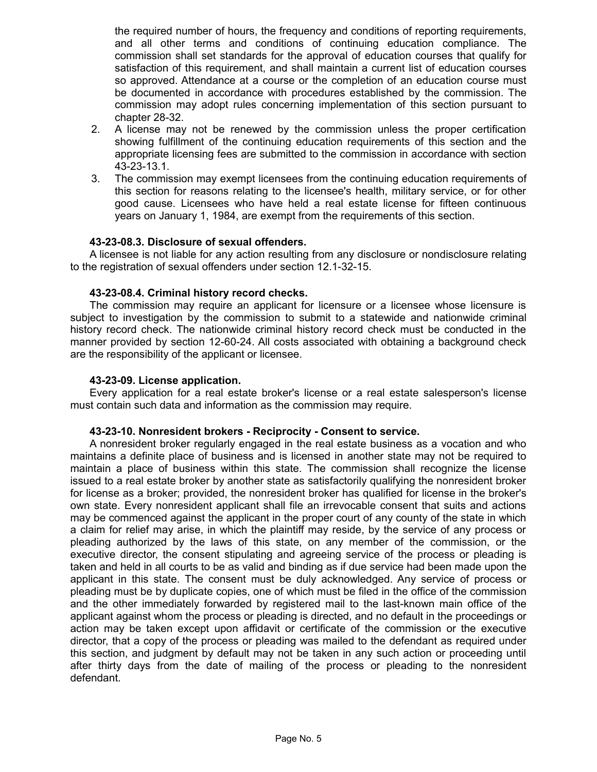the required number of hours, the frequency and conditions of reporting requirements, and all other terms and conditions of continuing education compliance. The commission shall set standards for the approval of education courses that qualify for satisfaction of this requirement, and shall maintain a current list of education courses so approved. Attendance at a course or the completion of an education course must be documented in accordance with procedures established by the commission. The commission may adopt rules concerning implementation of this section pursuant to chapter 28-32.

- 2. A license may not be renewed by the commission unless the proper certification showing fulfillment of the continuing education requirements of this section and the appropriate licensing fees are submitted to the commission in accordance with section 43-23-13.1.
- 3. The commission may exempt licensees from the continuing education requirements of this section for reasons relating to the licensee's health, military service, or for other good cause. Licensees who have held a real estate license for fifteen continuous years on January 1, 1984, are exempt from the requirements of this section.

### **43-23-08.3. Disclosure of sexual offenders.**

A licensee is not liable for any action resulting from any disclosure or nondisclosure relating to the registration of sexual offenders under section 12.1-32-15.

### **43-23-08.4. Criminal history record checks.**

The commission may require an applicant for licensure or a licensee whose licensure is subject to investigation by the commission to submit to a statewide and nationwide criminal history record check. The nationwide criminal history record check must be conducted in the manner provided by section 12-60-24. All costs associated with obtaining a background check are the responsibility of the applicant or licensee.

### **43-23-09. License application.**

Every application for a real estate broker's license or a real estate salesperson's license must contain such data and information as the commission may require.

### **43-23-10. Nonresident brokers - Reciprocity - Consent to service.**

A nonresident broker regularly engaged in the real estate business as a vocation and who maintains a definite place of business and is licensed in another state may not be required to maintain a place of business within this state. The commission shall recognize the license issued to a real estate broker by another state as satisfactorily qualifying the nonresident broker for license as a broker; provided, the nonresident broker has qualified for license in the broker's own state. Every nonresident applicant shall file an irrevocable consent that suits and actions may be commenced against the applicant in the proper court of any county of the state in which a claim for relief may arise, in which the plaintiff may reside, by the service of any process or pleading authorized by the laws of this state, on any member of the commission, or the executive director, the consent stipulating and agreeing service of the process or pleading is taken and held in all courts to be as valid and binding as if due service had been made upon the applicant in this state. The consent must be duly acknowledged. Any service of process or pleading must be by duplicate copies, one of which must be filed in the office of the commission and the other immediately forwarded by registered mail to the last-known main office of the applicant against whom the process or pleading is directed, and no default in the proceedings or action may be taken except upon affidavit or certificate of the commission or the executive director, that a copy of the process or pleading was mailed to the defendant as required under this section, and judgment by default may not be taken in any such action or proceeding until after thirty days from the date of mailing of the process or pleading to the nonresident defendant.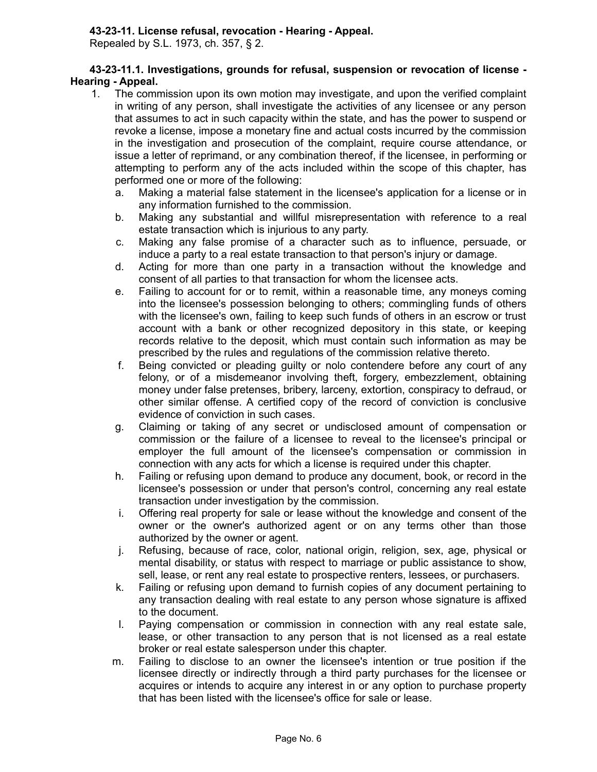## **43-23-11. License refusal, revocation - Hearing - Appeal.**

Repealed by S.L. 1973, ch. 357, § 2.

## **43-23-11.1. Investigations, grounds for refusal, suspension or revocation of license - Hearing - Appeal.**

- 1. The commission upon its own motion may investigate, and upon the verified complaint in writing of any person, shall investigate the activities of any licensee or any person that assumes to act in such capacity within the state, and has the power to suspend or revoke a license, impose a monetary fine and actual costs incurred by the commission in the investigation and prosecution of the complaint, require course attendance, or issue a letter of reprimand, or any combination thereof, if the licensee, in performing or attempting to perform any of the acts included within the scope of this chapter, has performed one or more of the following:
	- a. Making a material false statement in the licensee's application for a license or in any information furnished to the commission.
	- b. Making any substantial and willful misrepresentation with reference to a real estate transaction which is injurious to any party.
	- c. Making any false promise of a character such as to influence, persuade, or induce a party to a real estate transaction to that person's injury or damage.
	- d. Acting for more than one party in a transaction without the knowledge and consent of all parties to that transaction for whom the licensee acts.
	- e. Failing to account for or to remit, within a reasonable time, any moneys coming into the licensee's possession belonging to others; commingling funds of others with the licensee's own, failing to keep such funds of others in an escrow or trust account with a bank or other recognized depository in this state, or keeping records relative to the deposit, which must contain such information as may be prescribed by the rules and regulations of the commission relative thereto.
	- f. Being convicted or pleading guilty or nolo contendere before any court of any felony, or of a misdemeanor involving theft, forgery, embezzlement, obtaining money under false pretenses, bribery, larceny, extortion, conspiracy to defraud, or other similar offense. A certified copy of the record of conviction is conclusive evidence of conviction in such cases.
	- g. Claiming or taking of any secret or undisclosed amount of compensation or commission or the failure of a licensee to reveal to the licensee's principal or employer the full amount of the licensee's compensation or commission in connection with any acts for which a license is required under this chapter.
	- h. Failing or refusing upon demand to produce any document, book, or record in the licensee's possession or under that person's control, concerning any real estate transaction under investigation by the commission.
	- i. Offering real property for sale or lease without the knowledge and consent of the owner or the owner's authorized agent or on any terms other than those authorized by the owner or agent.
	- j. Refusing, because of race, color, national origin, religion, sex, age, physical or mental disability, or status with respect to marriage or public assistance to show, sell, lease, or rent any real estate to prospective renters, lessees, or purchasers.
	- k. Failing or refusing upon demand to furnish copies of any document pertaining to any transaction dealing with real estate to any person whose signature is affixed to the document.
	- l. Paying compensation or commission in connection with any real estate sale, lease, or other transaction to any person that is not licensed as a real estate broker or real estate salesperson under this chapter.
	- m. Failing to disclose to an owner the licensee's intention or true position if the licensee directly or indirectly through a third party purchases for the licensee or acquires or intends to acquire any interest in or any option to purchase property that has been listed with the licensee's office for sale or lease.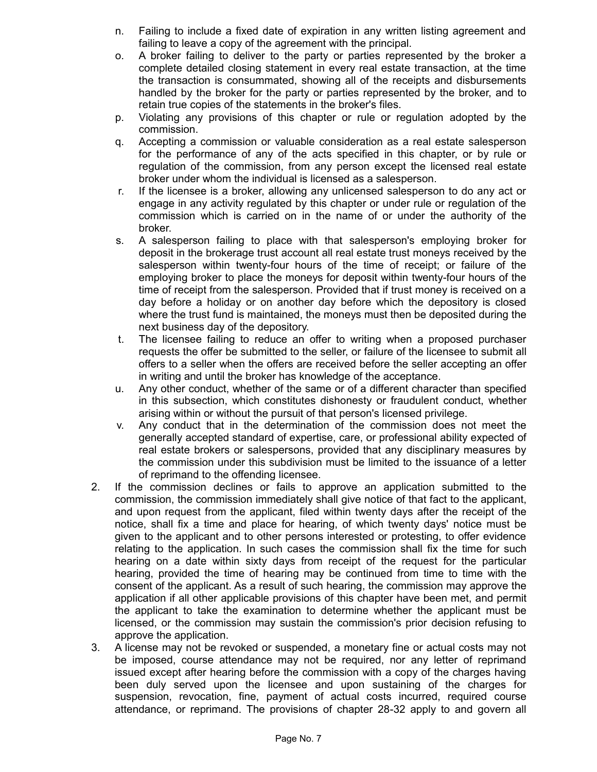- n. Failing to include a fixed date of expiration in any written listing agreement and failing to leave a copy of the agreement with the principal.
- o. A broker failing to deliver to the party or parties represented by the broker a complete detailed closing statement in every real estate transaction, at the time the transaction is consummated, showing all of the receipts and disbursements handled by the broker for the party or parties represented by the broker, and to retain true copies of the statements in the broker's files.
- p. Violating any provisions of this chapter or rule or regulation adopted by the commission.
- q. Accepting a commission or valuable consideration as a real estate salesperson for the performance of any of the acts specified in this chapter, or by rule or regulation of the commission, from any person except the licensed real estate broker under whom the individual is licensed as a salesperson.
- r. If the licensee is a broker, allowing any unlicensed salesperson to do any act or engage in any activity regulated by this chapter or under rule or regulation of the commission which is carried on in the name of or under the authority of the broker.
- s. A salesperson failing to place with that salesperson's employing broker for deposit in the brokerage trust account all real estate trust moneys received by the salesperson within twenty-four hours of the time of receipt; or failure of the employing broker to place the moneys for deposit within twenty-four hours of the time of receipt from the salesperson. Provided that if trust money is received on a day before a holiday or on another day before which the depository is closed where the trust fund is maintained, the moneys must then be deposited during the next business day of the depository.
- t. The licensee failing to reduce an offer to writing when a proposed purchaser requests the offer be submitted to the seller, or failure of the licensee to submit all offers to a seller when the offers are received before the seller accepting an offer in writing and until the broker has knowledge of the acceptance.
- u. Any other conduct, whether of the same or of a different character than specified in this subsection, which constitutes dishonesty or fraudulent conduct, whether arising within or without the pursuit of that person's licensed privilege.
- v. Any conduct that in the determination of the commission does not meet the generally accepted standard of expertise, care, or professional ability expected of real estate brokers or salespersons, provided that any disciplinary measures by the commission under this subdivision must be limited to the issuance of a letter of reprimand to the offending licensee.
- 2. If the commission declines or fails to approve an application submitted to the commission, the commission immediately shall give notice of that fact to the applicant, and upon request from the applicant, filed within twenty days after the receipt of the notice, shall fix a time and place for hearing, of which twenty days' notice must be given to the applicant and to other persons interested or protesting, to offer evidence relating to the application. In such cases the commission shall fix the time for such hearing on a date within sixty days from receipt of the request for the particular hearing, provided the time of hearing may be continued from time to time with the consent of the applicant. As a result of such hearing, the commission may approve the application if all other applicable provisions of this chapter have been met, and permit the applicant to take the examination to determine whether the applicant must be licensed, or the commission may sustain the commission's prior decision refusing to approve the application.
- 3. A license may not be revoked or suspended, a monetary fine or actual costs may not be imposed, course attendance may not be required, nor any letter of reprimand issued except after hearing before the commission with a copy of the charges having been duly served upon the licensee and upon sustaining of the charges for suspension, revocation, fine, payment of actual costs incurred, required course attendance, or reprimand. The provisions of chapter 28-32 apply to and govern all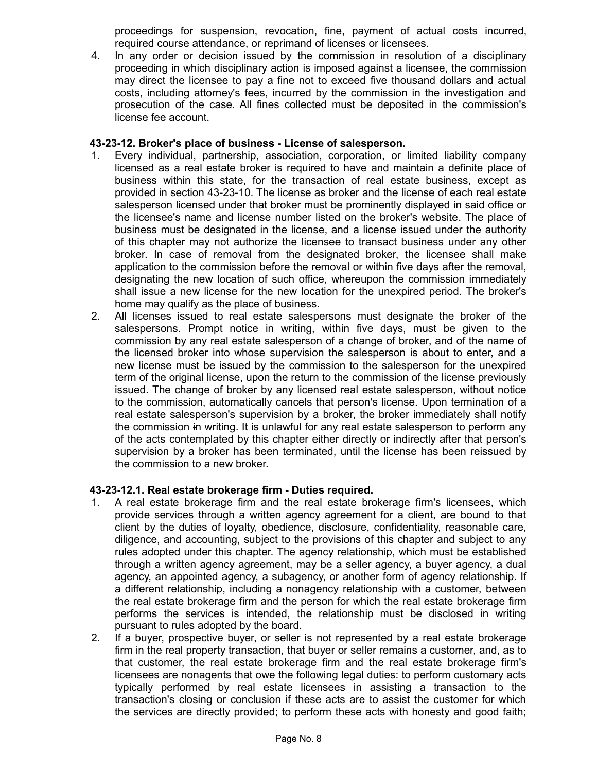proceedings for suspension, revocation, fine, payment of actual costs incurred, required course attendance, or reprimand of licenses or licensees.

4. In any order or decision issued by the commission in resolution of a disciplinary proceeding in which disciplinary action is imposed against a licensee, the commission may direct the licensee to pay a fine not to exceed five thousand dollars and actual costs, including attorney's fees, incurred by the commission in the investigation and prosecution of the case. All fines collected must be deposited in the commission's license fee account.

### **43-23-12. Broker's place of business - License of salesperson.**

- 1. Every individual, partnership, association, corporation, or limited liability company licensed as a real estate broker is required to have and maintain a definite place of business within this state, for the transaction of real estate business, except as provided in section 43-23-10. The license as broker and the license of each real estate salesperson licensed under that broker must be prominently displayed in said office or the licensee's name and license number listed on the broker's website. The place of business must be designated in the license, and a license issued under the authority of this chapter may not authorize the licensee to transact business under any other broker. In case of removal from the designated broker, the licensee shall make application to the commission before the removal or within five days after the removal, designating the new location of such office, whereupon the commission immediately shall issue a new license for the new location for the unexpired period. The broker's home may qualify as the place of business.
- 2. All licenses issued to real estate salespersons must designate the broker of the salespersons. Prompt notice in writing, within five days, must be given to the commission by any real estate salesperson of a change of broker, and of the name of the licensed broker into whose supervision the salesperson is about to enter, and a new license must be issued by the commission to the salesperson for the unexpired term of the original license, upon the return to the commission of the license previously issued. The change of broker by any licensed real estate salesperson, without notice to the commission, automatically cancels that person's license. Upon termination of a real estate salesperson's supervision by a broker, the broker immediately shall notify the commission in writing. It is unlawful for any real estate salesperson to perform any of the acts contemplated by this chapter either directly or indirectly after that person's supervision by a broker has been terminated, until the license has been reissued by the commission to a new broker.

## **43-23-12.1. Real estate brokerage firm - Duties required.**

- 1. A real estate brokerage firm and the real estate brokerage firm's licensees, which provide services through a written agency agreement for a client, are bound to that client by the duties of loyalty, obedience, disclosure, confidentiality, reasonable care, diligence, and accounting, subject to the provisions of this chapter and subject to any rules adopted under this chapter. The agency relationship, which must be established through a written agency agreement, may be a seller agency, a buyer agency, a dual agency, an appointed agency, a subagency, or another form of agency relationship. If a different relationship, including a nonagency relationship with a customer, between the real estate brokerage firm and the person for which the real estate brokerage firm performs the services is intended, the relationship must be disclosed in writing pursuant to rules adopted by the board.
- 2. If a buyer, prospective buyer, or seller is not represented by a real estate brokerage firm in the real property transaction, that buyer or seller remains a customer, and, as to that customer, the real estate brokerage firm and the real estate brokerage firm's licensees are nonagents that owe the following legal duties: to perform customary acts typically performed by real estate licensees in assisting a transaction to the transaction's closing or conclusion if these acts are to assist the customer for which the services are directly provided; to perform these acts with honesty and good faith;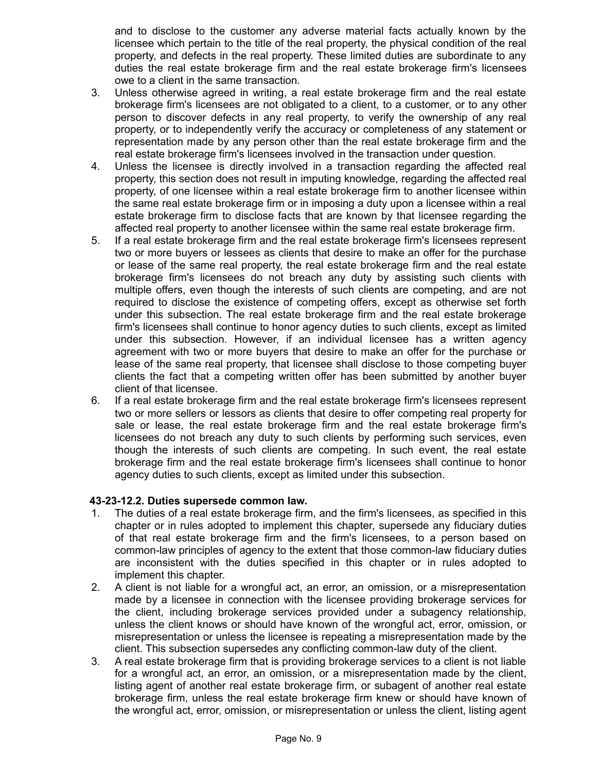and to disclose to the customer any adverse material facts actually known by the licensee which pertain to the title of the real property, the physical condition of the real property, and defects in the real property. These limited duties are subordinate to any duties the real estate brokerage firm and the real estate brokerage firm's licensees owe to a client in the same transaction.

- 3. Unless otherwise agreed in writing, a real estate brokerage firm and the real estate brokerage firm's licensees are not obligated to a client, to a customer, or to any other person to discover defects in any real property, to verify the ownership of any real property, or to independently verify the accuracy or completeness of any statement or representation made by any person other than the real estate brokerage firm and the real estate brokerage firm's licensees involved in the transaction under question.
- 4. Unless the licensee is directly involved in a transaction regarding the affected real property, this section does not result in imputing knowledge, regarding the affected real property, of one licensee within a real estate brokerage firm to another licensee within the same real estate brokerage firm or in imposing a duty upon a licensee within a real estate brokerage firm to disclose facts that are known by that licensee regarding the affected real property to another licensee within the same real estate brokerage firm.
- 5. If a real estate brokerage firm and the real estate brokerage firm's licensees represent two or more buyers or lessees as clients that desire to make an offer for the purchase or lease of the same real property, the real estate brokerage firm and the real estate brokerage firm's licensees do not breach any duty by assisting such clients with multiple offers, even though the interests of such clients are competing, and are not required to disclose the existence of competing offers, except as otherwise set forth under this subsection. The real estate brokerage firm and the real estate brokerage firm's licensees shall continue to honor agency duties to such clients, except as limited under this subsection. However, if an individual licensee has a written agency agreement with two or more buyers that desire to make an offer for the purchase or lease of the same real property, that licensee shall disclose to those competing buyer clients the fact that a competing written offer has been submitted by another buyer client of that licensee.
- 6. If a real estate brokerage firm and the real estate brokerage firm's licensees represent two or more sellers or lessors as clients that desire to offer competing real property for sale or lease, the real estate brokerage firm and the real estate brokerage firm's licensees do not breach any duty to such clients by performing such services, even though the interests of such clients are competing. In such event, the real estate brokerage firm and the real estate brokerage firm's licensees shall continue to honor agency duties to such clients, except as limited under this subsection.

## **43-23-12.2. Duties supersede common law.**

- 1. The duties of a real estate brokerage firm, and the firm's licensees, as specified in this chapter or in rules adopted to implement this chapter, supersede any fiduciary duties of that real estate brokerage firm and the firm's licensees, to a person based on common-law principles of agency to the extent that those common-law fiduciary duties are inconsistent with the duties specified in this chapter or in rules adopted to implement this chapter.
- 2. A client is not liable for a wrongful act, an error, an omission, or a misrepresentation made by a licensee in connection with the licensee providing brokerage services for the client, including brokerage services provided under a subagency relationship, unless the client knows or should have known of the wrongful act, error, omission, or misrepresentation or unless the licensee is repeating a misrepresentation made by the client. This subsection supersedes any conflicting common-law duty of the client.
- 3. A real estate brokerage firm that is providing brokerage services to a client is not liable for a wrongful act, an error, an omission, or a misrepresentation made by the client, listing agent of another real estate brokerage firm, or subagent of another real estate brokerage firm, unless the real estate brokerage firm knew or should have known of the wrongful act, error, omission, or misrepresentation or unless the client, listing agent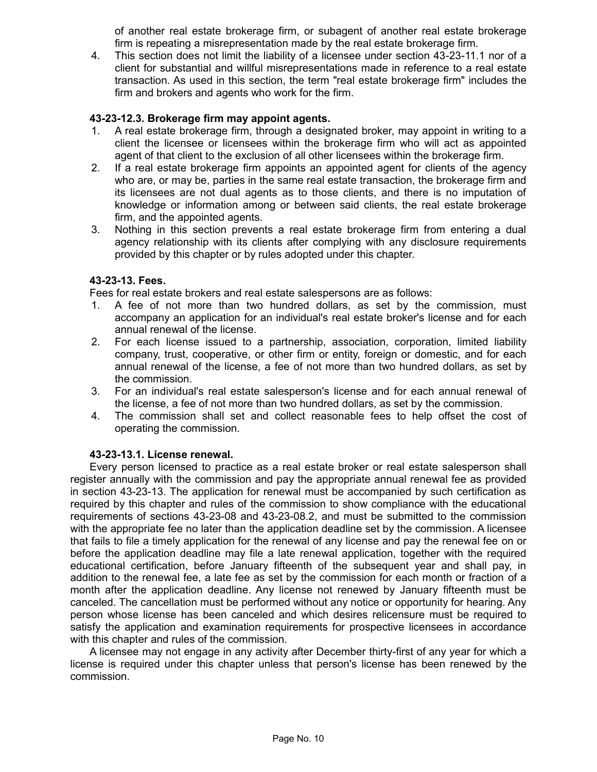of another real estate brokerage firm, or subagent of another real estate brokerage firm is repeating a misrepresentation made by the real estate brokerage firm.

4. This section does not limit the liability of a licensee under section 43-23-11.1 nor of a client for substantial and willful misrepresentations made in reference to a real estate transaction. As used in this section, the term "real estate brokerage firm" includes the firm and brokers and agents who work for the firm.

## **43-23-12.3. Brokerage firm may appoint agents.**

- 1. A real estate brokerage firm, through a designated broker, may appoint in writing to a client the licensee or licensees within the brokerage firm who will act as appointed agent of that client to the exclusion of all other licensees within the brokerage firm.
- 2. If a real estate brokerage firm appoints an appointed agent for clients of the agency who are, or may be, parties in the same real estate transaction, the brokerage firm and its licensees are not dual agents as to those clients, and there is no imputation of knowledge or information among or between said clients, the real estate brokerage firm, and the appointed agents.
- 3. Nothing in this section prevents a real estate brokerage firm from entering a dual agency relationship with its clients after complying with any disclosure requirements provided by this chapter or by rules adopted under this chapter.

### **43-23-13. Fees.**

Fees for real estate brokers and real estate salespersons are as follows:

- 1. A fee of not more than two hundred dollars, as set by the commission, must accompany an application for an individual's real estate broker's license and for each annual renewal of the license.
- 2. For each license issued to a partnership, association, corporation, limited liability company, trust, cooperative, or other firm or entity, foreign or domestic, and for each annual renewal of the license, a fee of not more than two hundred dollars, as set by the commission.
- 3. For an individual's real estate salesperson's license and for each annual renewal of the license, a fee of not more than two hundred dollars, as set by the commission.
- 4. The commission shall set and collect reasonable fees to help offset the cost of operating the commission.

## **43-23-13.1. License renewal.**

Every person licensed to practice as a real estate broker or real estate salesperson shall register annually with the commission and pay the appropriate annual renewal fee as provided in section 43-23-13. The application for renewal must be accompanied by such certification as required by this chapter and rules of the commission to show compliance with the educational requirements of sections 43-23-08 and 43-23-08.2, and must be submitted to the commission with the appropriate fee no later than the application deadline set by the commission. A licensee that fails to file a timely application for the renewal of any license and pay the renewal fee on or before the application deadline may file a late renewal application, together with the required educational certification, before January fifteenth of the subsequent year and shall pay, in addition to the renewal fee, a late fee as set by the commission for each month or fraction of a month after the application deadline. Any license not renewed by January fifteenth must be canceled. The cancellation must be performed without any notice or opportunity for hearing. Any person whose license has been canceled and which desires relicensure must be required to satisfy the application and examination requirements for prospective licensees in accordance with this chapter and rules of the commission.

A licensee may not engage in any activity after December thirty-first of any year for which a license is required under this chapter unless that person's license has been renewed by the commission.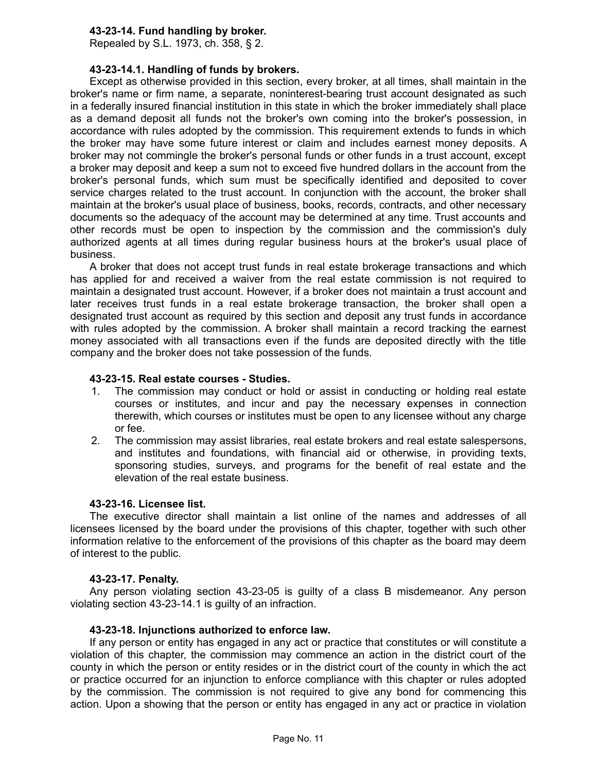## **43-23-14. Fund handling by broker.**

Repealed by S.L. 1973, ch. 358, § 2.

### **43-23-14.1. Handling of funds by brokers.**

Except as otherwise provided in this section, every broker, at all times, shall maintain in the broker's name or firm name, a separate, noninterest-bearing trust account designated as such in a federally insured financial institution in this state in which the broker immediately shall place as a demand deposit all funds not the broker's own coming into the broker's possession, in accordance with rules adopted by the commission. This requirement extends to funds in which the broker may have some future interest or claim and includes earnest money deposits. A broker may not commingle the broker's personal funds or other funds in a trust account, except a broker may deposit and keep a sum not to exceed five hundred dollars in the account from the broker's personal funds, which sum must be specifically identified and deposited to cover service charges related to the trust account. In conjunction with the account, the broker shall maintain at the broker's usual place of business, books, records, contracts, and other necessary documents so the adequacy of the account may be determined at any time. Trust accounts and other records must be open to inspection by the commission and the commission's duly authorized agents at all times during regular business hours at the broker's usual place of business.

A broker that does not accept trust funds in real estate brokerage transactions and which has applied for and received a waiver from the real estate commission is not required to maintain a designated trust account. However, if a broker does not maintain a trust account and later receives trust funds in a real estate brokerage transaction, the broker shall open a designated trust account as required by this section and deposit any trust funds in accordance with rules adopted by the commission. A broker shall maintain a record tracking the earnest money associated with all transactions even if the funds are deposited directly with the title company and the broker does not take possession of the funds.

### **43-23-15. Real estate courses - Studies.**

- 1. The commission may conduct or hold or assist in conducting or holding real estate courses or institutes, and incur and pay the necessary expenses in connection therewith, which courses or institutes must be open to any licensee without any charge or fee.
- 2. The commission may assist libraries, real estate brokers and real estate salespersons, and institutes and foundations, with financial aid or otherwise, in providing texts, sponsoring studies, surveys, and programs for the benefit of real estate and the elevation of the real estate business.

## **43-23-16. Licensee list.**

The executive director shall maintain a list online of the names and addresses of all licensees licensed by the board under the provisions of this chapter, together with such other information relative to the enforcement of the provisions of this chapter as the board may deem of interest to the public.

### **43-23-17. Penalty.**

Any person violating section 43-23-05 is guilty of a class B misdemeanor. Any person violating section 43-23-14.1 is guilty of an infraction.

## **43-23-18. Injunctions authorized to enforce law.**

If any person or entity has engaged in any act or practice that constitutes or will constitute a violation of this chapter, the commission may commence an action in the district court of the county in which the person or entity resides or in the district court of the county in which the act or practice occurred for an injunction to enforce compliance with this chapter or rules adopted by the commission. The commission is not required to give any bond for commencing this action. Upon a showing that the person or entity has engaged in any act or practice in violation